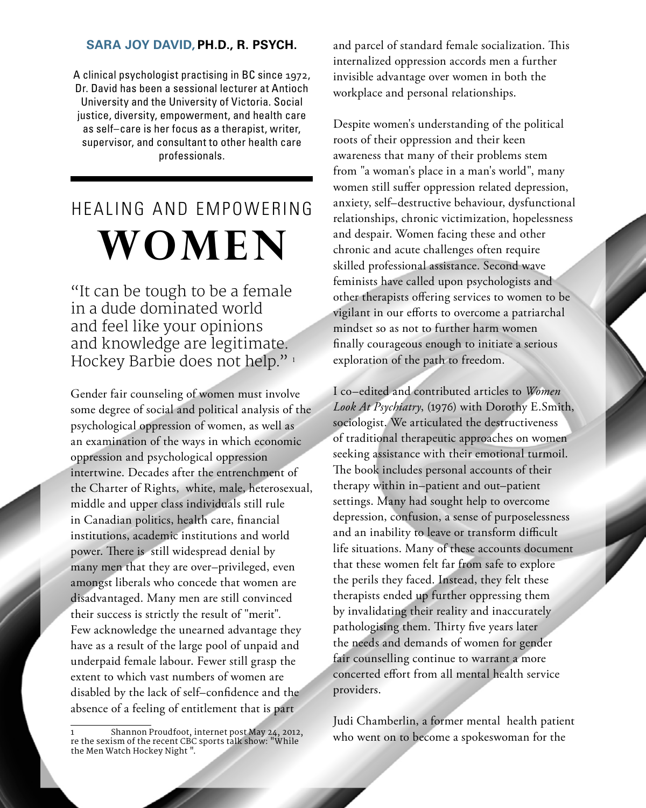## **sara joy david, Ph.D., R. Psych.**

A clinical psychologist practising in BC since 1972, Dr. David has been a sessional lecturer at Antioch University and the University of Victoria. Social justice, diversity, empowerment, and health care as self–care is her focus as a therapist, writer, supervisor, and consultant to other health care professionals.

## healing and empowering **women**

"It can be tough to be a female in a dude dominated world and feel like your opinions and knowledge are legitimate. Hockey Barbie does not help."<sup>1</sup>

Gender fair counseling of women must involve some degree of social and political analysis of the psychological oppression of women, as well as an examination of the ways in which economic oppression and psychological oppression intertwine. Decades after the entrenchment of the Charter of Rights, white, male, heterosexual, middle and upper class individuals still rule in Canadian politics, health care, financial institutions, academic institutions and world power. There is still widespread denial by many men that they are over–privileged, even amongst liberals who concede that women are disadvantaged. Many men are still convinced their success is strictly the result of "merit". Few acknowledge the unearned advantage they have as a result of the large pool of unpaid and underpaid female labour. Fewer still grasp the extent to which vast numbers of women are disabled by the lack of self–confidence and the absence of a feeling of entitlement that is part

12 summer 2012

and parcel of standard female socialization. This internalized oppression accords men a further invisible advantage over women in both the workplace and personal relationships.

Despite women's understanding of the political roots of their oppression and their keen awareness that many of their problems stem from "a woman's place in a man's world", many women still suffer oppression related depression, anxiety, self–destructive behaviour, dysfunctional relationships, chronic victimization, hopelessness and despair. Women facing these and other chronic and acute challenges often require skilled professional assistance. Second wave feminists have called upon psychologists and other therapists offering services to women to be vigilant in our efforts to overcome a patriarchal mindset so as not to further harm women finally courageous enough to initiate a serious exploration of the path to freedom.

I co–edited and contributed articles to *Women Look At Psychiatry*, (1976) with Dorothy E.Smith, sociologist. We articulated the destructiveness of traditional therapeutic approaches on women seeking assistance with their emotional turmoil. The book includes personal accounts of their therapy within in–patient and out–patient settings. Many had sought help to overcome depression, confusion, a sense of purposelessness and an inability to leave or transform difficult life situations. Many of these accounts document that these women felt far from safe to explore the perils they faced. Instead, they felt these therapists ended up further oppressing them by invalidating their reality and inaccurately pathologising them. Thirty five years later the needs and demands of women for gender fair counselling continue to warrant a more concerted effort from all mental health service providers.

Judi Chamberlin, a former mental health patient who went on to become a spokeswoman for the

<sup>1</sup> Shannon Proudfoot, internet post May 24, 2012, re the sexism of the recent CBC sports talk show: "While the Men Watch Hockey Night ".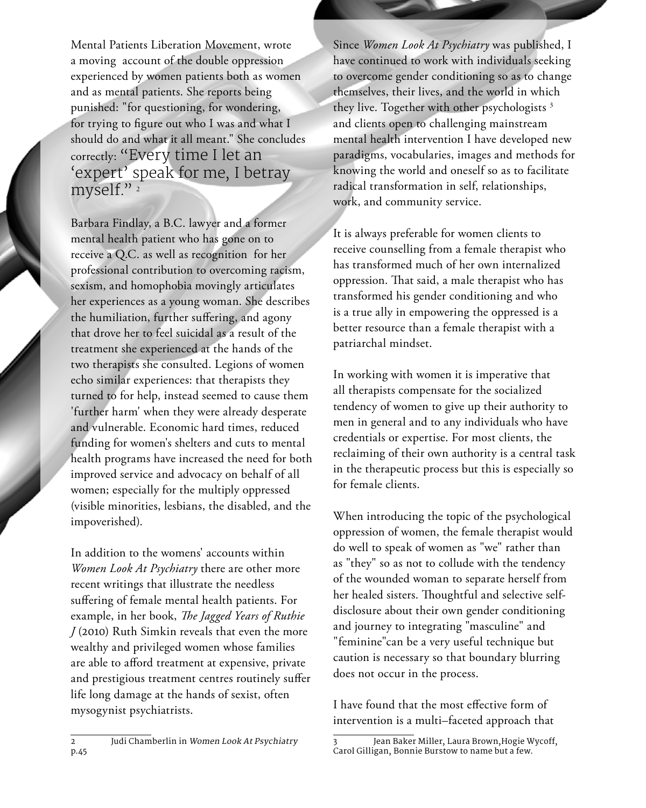Mental Patients Liberation Movement, wrote a moving account of the double oppression experienced by women patients both as women and as mental patients. She reports being punished: "for questioning, for wondering, for trying to figure out who I was and what I should do and what it all meant." She concludes correctly: "Every time I let an 'expert' speak for me, I betray myself."<sup>2</sup>

Barbara Findlay, a B.C. lawyer and a former mental health patient who has gone on to receive a Q.C. as well as recognition for her professional contribution to overcoming racism, sexism, and homophobia movingly articulates her experiences as a young woman. She describes the humiliation, further suffering, and agony that drove her to feel suicidal as a result of the treatment she experienced at the hands of the two therapists she consulted. Legions of women echo similar experiences: that therapists they turned to for help, instead seemed to cause them 'further harm' when they were already desperate and vulnerable. Economic hard times, reduced funding for women's shelters and cuts to mental health programs have increased the need for both improved service and advocacy on behalf of all women; especially for the multiply oppressed (visible minorities, lesbians, the disabled, and the impoverished).

In addition to the womens' accounts within *Women Look At Psychiatry* there are other more recent writings that illustrate the needless suffering of female mental health patients. For example, in her book, *The Jagged Years of Ruthie J* (2010) Ruth Simkin reveals that even the more wealthy and privileged women whose families are able to afford treatment at expensive, private and prestigious treatment centres routinely suffer life long damage at the hands of sexist, often mysogynist psychiatrists.

Since *Women Look At Psychiatry* was published, I have continued to work with individuals seeking to overcome gender conditioning so as to change themselves, their lives, and the world in which they live. Together with other psychologists<sup>3</sup> and clients open to challenging mainstream mental health intervention I have developed new paradigms, vocabularies, images and methods for knowing the world and oneself so as to facilitate radical transformation in self, relationships, work, and community service.

It is always preferable for women clients to receive counselling from a female therapist who has transformed much of her own internalized oppression. That said, a male therapist who has transformed his gender conditioning and who is a true ally in empowering the oppressed is a better resource than a female therapist with a patriarchal mindset.

In working with women it is imperative that all therapists compensate for the socialized tendency of women to give up their authority to men in general and to any individuals who have credentials or expertise. For most clients, the reclaiming of their own authority is a central task in the therapeutic process but this is especially so for female clients.

When introducing the topic of the psychological oppression of women, the female therapist would do well to speak of women as "we" rather than as "they" so as not to collude with the tendency of the wounded woman to separate herself from her healed sisters. Thoughtful and selective selfdisclosure about their own gender conditioning and journey to integrating "masculine" and "feminine"can be a very useful technique but caution is necessary so that boundary blurring does not occur in the process.

I have found that the most effective form of intervention is a multi–faceted approach that

<sup>3</sup> Jean Baker Miller, Laura Brown,Hogie Wycoff, Carol Gilligan, Bonnie Burstow to name but a few.